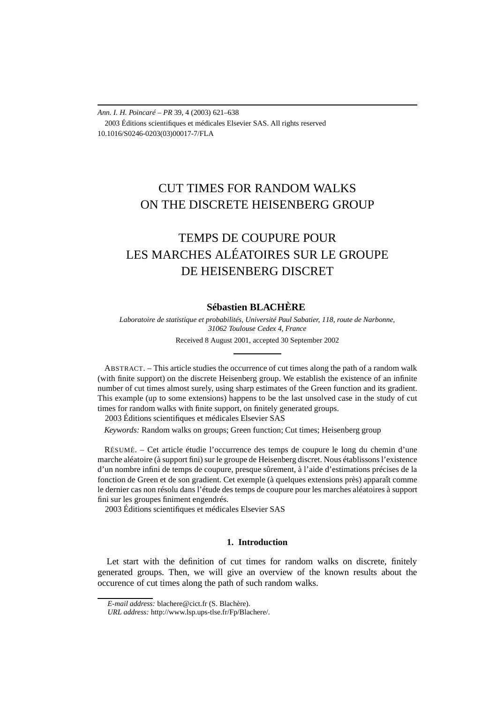*Ann. I. H. Poincaré – PR* 39, 4 (2003) 621–638 2003 Éditions scientifiques et médicales Elsevier SAS. All rights reserved 10.1016/S0246-0203(03)00017-7/FLA

## CUT TIMES FOR RANDOM WALKS ON THE DISCRETE HEISENBERG GROUP

# TEMPS DE COUPURE POUR LES MARCHES ALÉATOIRES SUR LE GROUPE DE HEISENBERG DISCRET

### **Sébastien BLACHÈRE**

*Laboratoire de statistique et probabilités, Université Paul Sabatier, 118, route de Narbonne, 31062 Toulouse Cedex 4, France* Received 8 August 2001, accepted 30 September 2002

ABSTRACT. – This article studies the occurrence of cut times along the path of a random walk (with finite support) on the discrete Heisenberg group. We establish the existence of an infinite number of cut times almost surely, using sharp estimates of the Green function and its gradient. This example (up to some extensions) happens to be the last unsolved case in the study of cut times for random walks with finite support, on finitely generated groups.

2003 Éditions scientifiques et médicales Elsevier SAS

*Keywords:* Random walks on groups; Green function; Cut times; Heisenberg group

RÉSUMÉ. – Cet article étudie l'occurrence des temps de coupure le long du chemin d'une marche aléatoire (à support fini) sur le groupe de Heisenberg discret. Nous établissons l'existence d'un nombre infini de temps de coupure, presque sûrement, à l'aide d'estimations précises de la fonction de Green et de son gradient. Cet exemple (à quelques extensions près) apparaît comme le dernier cas non résolu dans l'étude des temps de coupure pour les marches aléatoires à support fini sur les groupes finiment engendrés.

2003 Éditions scientifiques et médicales Elsevier SAS

### **1. Introduction**

Let start with the definition of cut times for random walks on discrete, finitely generated groups. Then, we will give an overview of the known results about the occurence of cut times along the path of such random walks.

*E-mail address:* blachere@cict.fr (S. Blachère).

*URL address:* http://www.lsp.ups-tlse.fr/Fp/Blachere/.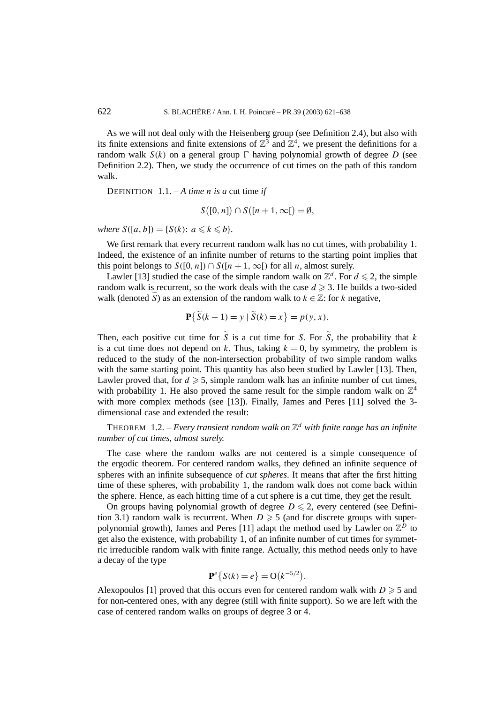As we will not deal only with the Heisenberg group (see Definition 2.4), but also with its finite extensions and finite extensions of  $\mathbb{Z}^3$  and  $\mathbb{Z}^4$ , we present the definitions for a random walk  $S(k)$  on a general group  $\Gamma$  having polynomial growth of degree *D* (see Definition 2.2). Then, we study the occurrence of cut times on the path of this random walk.

DEFINITION  $1.1 - A$  *time n is a* cut time *if* 

$$
S([0, n]) \cap S([n + 1, \infty]) = \emptyset,
$$

*where*  $S([a, b]) = \{S(k): a \leq k \leq b\}.$ 

We first remark that every recurrent random walk has no cut times, with probability 1. Indeed, the existence of an infinite number of returns to the starting point implies that this point belongs to  $S([0, n]) \cap S([n + 1, \infty])$  for all *n*, almost surely.

Lawler [13] studied the case of the simple random walk on  $\mathbb{Z}^d$ . For  $d \leq 2$ , the simple random walk is recurrent, so the work deals with the case  $d \geq 3$ . He builds a two-sided walk (denoted  $\tilde{S}$ ) as an extension of the random walk to  $k \in \mathbb{Z}$ : for k negative,

$$
\mathbf{P}\{\tilde{S}(k-1) = y \mid \tilde{S}(k) = x\} = p(y, x).
$$

Then, each positive cut time for  $\tilde{S}$  is a cut time for *S*. For  $\tilde{S}$ , the probability that *k* is a cut time does not depend on *k*. Thus, taking  $k = 0$ , by symmetry, the problem is reduced to the study of the non-intersection probability of two simple random walks with the same starting point. This quantity has also been studied by Lawler [13]. Then, Lawler proved that, for  $d \geq 5$ , simple random walk has an infinite number of cut times, with probability 1. He also proved the same result for the simple random walk on  $\mathbb{Z}^4$ with more complex methods (see [13]). Finally, James and Peres [11] solved the 3dimensional case and extended the result:

THEOREM 1.2. – *Every transient random walk on*  $\mathbb{Z}^d$  *with finite range has an infinite number of cut times, almost surely.*

The case where the random walks are not centered is a simple consequence of the ergodic theorem. For centered random walks, they defined an infinite sequence of spheres with an infinite subsequence of *cut spheres*. It means that after the first hitting time of these spheres, with probability 1, the random walk does not come back within the sphere. Hence, as each hitting time of a cut sphere is a cut time, they get the result.

On groups having polynomial growth of degree  $D \le 2$ , every centered (see Definition 3.1) random walk is recurrent. When  $D \geq 5$  (and for discrete groups with superpolynomial growth), James and Peres [11] adapt the method used by Lawler on  $\mathbb{Z}^D$  to get also the existence, with probability 1, of an infinite number of cut times for symmetric irreducible random walk with finite range. Actually, this method needs only to have a decay of the type

$$
\mathbf{P}^e\{S(k) = e\} = O(k^{-5/2}).
$$

Alexopoulos [1] proved that this occurs even for centered random walk with  $D \geq 5$  and for non-centered ones, with any degree (still with finite support). So we are left with the case of centered random walks on groups of degree 3 or 4.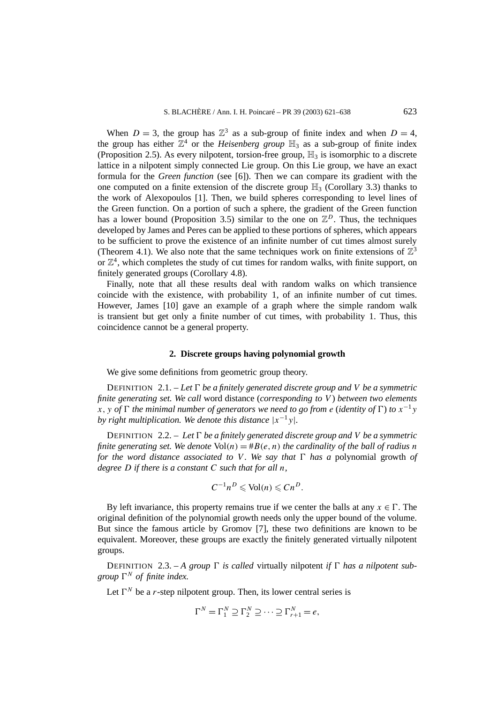When  $D = 3$ , the group has  $\mathbb{Z}^3$  as a sub-group of finite index and when  $D = 4$ , the group has either  $\mathbb{Z}^4$  or the *Heisenberg group*  $\mathbb{H}_3$  as a sub-group of finite index (Proposition 2.5). As every nilpotent, torsion-free group,  $\mathbb{H}_3$  is isomorphic to a discrete lattice in a nilpotent simply connected Lie group. On this Lie group, we have an exact formula for the *Green function* (see [6]). Then we can compare its gradient with the one computed on a finite extension of the discrete group  $\mathbb{H}_3$  (Corollary 3.3) thanks to the work of Alexopoulos [1]. Then, we build spheres corresponding to level lines of the Green function. On a portion of such a sphere, the gradient of the Green function has a lower bound (Proposition 3.5) similar to the one on  $\mathbb{Z}^D$ . Thus, the techniques developed by James and Peres can be applied to these portions of spheres, which appears to be sufficient to prove the existence of an infinite number of cut times almost surely (Theorem 4.1). We also note that the same techniques work on finite extensions of  $\mathbb{Z}^3$ or  $\mathbb{Z}^4$ , which completes the study of cut times for random walks, with finite support, on finitely generated groups (Corollary 4.8).

Finally, note that all these results deal with random walks on which transience coincide with the existence, with probability 1, of an infinite number of cut times. However, James [10] gave an example of a graph where the simple random walk is transient but get only a finite number of cut times, with probability 1. Thus, this coincidence cannot be a general property.

#### **2. Discrete groups having polynomial growth**

We give some definitions from geometric group theory.

DEFINITION 2.1. – Let  $\Gamma$  be a finitely generated discrete group and V be a symmetric *finite generating set. We call* word distance (*corresponding to V* ) *between two elements*  $\overline{x}$ , *y of*  $\Gamma$  *the minimal number of generators we need to go from e (identity of*  $\Gamma$ ) *to*  $x^{-1}y$ *by right multiplication. We denote this distance*  $|x^{-1}y|$ *.* 

DEFINITION 2.2. – Let  $\Gamma$  *be a finitely generated discrete group and V be a symmetric finite generating set. We denote*  $Vol(n) = #B(e, n)$  *the cardinality of the ball of radius n for the word distance associated to V*. We say that  $\Gamma$  has a polynomial growth of *degree D if there is a constant C such that for all n,*

$$
C^{-1}n^D \leqslant \text{Vol}(n) \leqslant C n^D.
$$

By left invariance, this property remains true if we center the balls at any  $x \in \Gamma$ . The original definition of the polynomial growth needs only the upper bound of the volume. But since the famous article by Gromov [7], these two definitions are known to be equivalent. Moreover, these groups are exactly the finitely generated virtually nilpotent groups.

DEFINITION 2.3. - A group  $\Gamma$  is called virtually nilpotent *if*  $\Gamma$  has a nilpotent sub*group*  $\Gamma^N$  *of finite index.* 

Let  $\Gamma^N$  be a *r*-step nilpotent group. Then, its lower central series is

$$
\Gamma^N = \Gamma_1^N \supseteq \Gamma_2^N \supseteq \cdots \supseteq \Gamma_{r+1}^N = e,
$$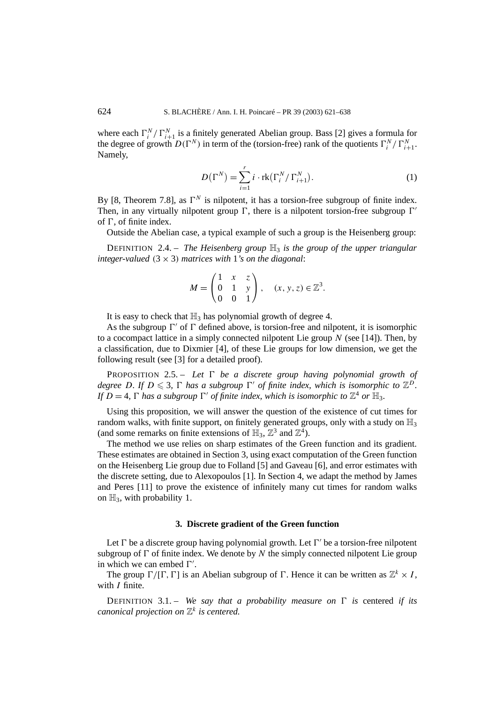where each  $\Gamma_i^N / \Gamma_{i+1}^N$  is a finitely generated Abelian group. Bass [2] gives a formula for the degree of growth  $D(\Gamma^N)$  in term of the (torsion-free) rank of the quotients  $\Gamma_i^N / \Gamma_{i+1}^N$ . Namely,

$$
D(\Gamma^N) = \sum_{i=1}^r i \cdot \text{rk}(\Gamma_i^N / \Gamma_{i+1}^N).
$$
 (1)

By [8, Theorem 7.8], as  $\Gamma^N$  is nilpotent, it has a torsion-free subgroup of finite index. Then, in any virtually nilpotent group  $\Gamma$ , there is a nilpotent torsion-free subgroup  $\Gamma'$ of  $\Gamma$ , of finite index.

Outside the Abelian case, a typical example of such a group is the Heisenberg group:

DEFINITION 2.4. – *The Heisenberg group*  $\mathbb{H}_3$  *is the group of the upper triangular integer-valued*  $(3 \times 3)$  *matrices with* 1*'s on the diagonal:* 

$$
M = \begin{pmatrix} 1 & x & z \\ 0 & 1 & y \\ 0 & 0 & 1 \end{pmatrix}, \quad (x, y, z) \in \mathbb{Z}^{3}.
$$

It is easy to check that  $\mathbb{H}_3$  has polynomial growth of degree 4.

As the subgroup  $\Gamma'$  of  $\Gamma$  defined above, is torsion-free and nilpotent, it is isomorphic to a cocompact lattice in a simply connected nilpotent Lie group *N* (see [14]). Then, by a classification, due to Dixmier [4], of these Lie groups for low dimension, we get the following result (see [3] for a detailed proof).

PROPOSITION 2.5. – *Let be a discrete group having polynomial growth of degree D*. If  $D \leq 3$ ,  $\Gamma$  *has a subgroup*  $\Gamma'$  *of finite index, which is isomorphic to*  $\mathbb{Z}^D$ *. If*  $D = 4$ ,  $\Gamma$  has a subgroup  $\Gamma'$  of finite index, which is isomorphic to  $\mathbb{Z}^4$  or  $\mathbb{H}_3$ .

Using this proposition, we will answer the question of the existence of cut times for random walks, with finite support, on finitely generated groups, only with a study on  $\mathbb{H}_3$ (and some remarks on finite extensions of  $\mathbb{H}_3$ ,  $\mathbb{Z}^3$  and  $\mathbb{Z}^4$ ).

The method we use relies on sharp estimates of the Green function and its gradient. These estimates are obtained in Section 3, using exact computation of the Green function on the Heisenberg Lie group due to Folland [5] and Gaveau [6], and error estimates with the discrete setting, due to Alexopoulos [1]. In Section 4, we adapt the method by James and Peres [11] to prove the existence of infinitely many cut times for random walks on  $\mathbb{H}_3$ , with probability 1.

#### **3. Discrete gradient of the Green function**

Let  $\Gamma$  be a discrete group having polynomial growth. Let  $\Gamma'$  be a torsion-free nilpotent subgroup of  $\Gamma$  of finite index. We denote by  $N$  the simply connected nilpotent Lie group in which we can embed  $\Gamma'$ .

The group  $\Gamma/[\Gamma, \Gamma]$  is an Abelian subgroup of  $\Gamma$ . Hence it can be written as  $\mathbb{Z}^k \times I$ . with *I* finite.

DEFINITION 3.1. – We say that a probability measure on  $\Gamma$  is centered if its *canonical projection on* Z*<sup>k</sup> is centered.*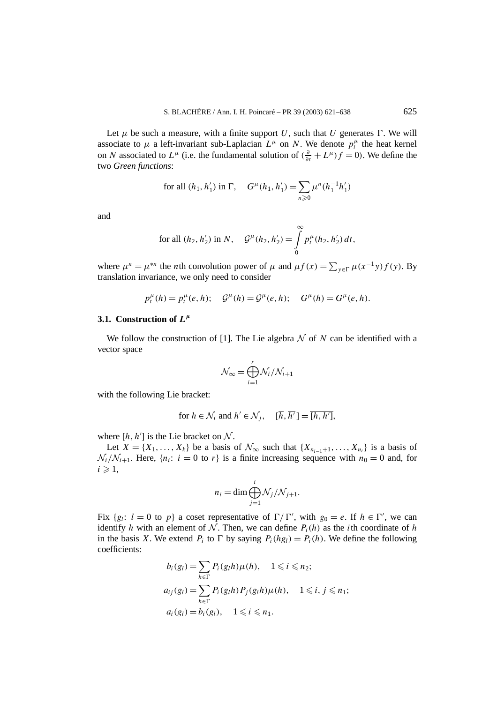Let  $\mu$  be such a measure, with a finite support *U*, such that *U* generates  $\Gamma$ . We will associate to  $\mu$  a left-invariant sub-Laplacian  $L^{\mu}$  on *N*. We denote  $p_t^{\mu}$  the heat kernel on *N* associated to  $L^{\mu}$  (i.e. the fundamental solution of  $(\frac{\partial}{\partial t} + L^{\mu})f = 0$ ). We define the two *Green functions*:

for all 
$$
(h_1, h'_1)
$$
 in  $\Gamma$ ,  $G^{\mu}(h_1, h'_1) = \sum_{n \ge 0} \mu^n (h_1^{-1} h'_1)$ 

and

for all 
$$
(h_2, h'_2)
$$
 in N,  $\mathcal{G}^{\mu}(h_2, h'_2) = \int_{0}^{\infty} p_t^{\mu}(h_2, h'_2) dt$ ,

where  $\mu^n = \mu^{*n}$  the *n*th convolution power of  $\mu$  and  $\mu f(x) = \sum_{y \in \Gamma} \mu(x^{-1}y) f(y)$ . By translation invariance, we only need to consider

$$
p_t^{\mu}(h) = p_t^{\mu}(e, h);
$$
  $\mathcal{G}^{\mu}(h) = \mathcal{G}^{\mu}(e, h);$   $G^{\mu}(h) = G^{\mu}(e, h).$ 

#### **3.1.** Construction of  $L^{\mu}$

We follow the construction of [1]. The Lie algebra  $N$  of  $N$  can be identified with a vector space

$$
\mathcal{N}_{\infty} = \bigoplus_{i=1}^{r} \mathcal{N}_i / \mathcal{N}_{i+1}
$$

with the following Lie bracket:

for 
$$
h \in \mathcal{N}_i
$$
 and  $h' \in \mathcal{N}_j$ ,  $[\overline{h}, \overline{h'}] = [\overline{h}, \overline{h'}]$ ,

where  $[h, h']$  is the Lie bracket on  $N$ .

Let  $X = \{X_1, \ldots, X_k\}$  be a basis of  $\mathcal{N}_{\infty}$  such that  $\{X_{n_{i-1}+1}, \ldots, X_{n_i}\}$  is a basis of  $\mathcal{N}_i/\mathcal{N}_{i+1}$ . Here,  $\{n_i: i = 0 \text{ to } r\}$  is a finite increasing sequence with  $n_0 = 0$  and, for  $i \geqslant 1$ ,

$$
n_i = \dim \bigoplus_{j=1}^i \mathcal{N}_j/\mathcal{N}_{j+1}.
$$

Fix  ${g_l: l = 0 \text{ to } p}$  a coset representative of  $\Gamma / \Gamma'$ , with  $g_0 = e$ . If  $h \in \Gamma'$ , we can identify *h* with an element of N. Then, we can define  $P_i(h)$  as the *i*th coordinate of *h* in the basis *X*. We extend  $P_i$  to  $\Gamma$  by saying  $P_i(hg_i) = P_i(h)$ . We define the following coefficients:

$$
b_i(g_l) = \sum_{h \in \Gamma} P_i(g_l h) \mu(h), \quad 1 \le i \le n_2;
$$
  
\n
$$
a_{ij}(g_l) = \sum_{h \in \Gamma} P_i(g_l h) P_j(g_l h) \mu(h), \quad 1 \le i, j \le n_1;
$$
  
\n
$$
a_i(g_l) = b_i(g_l), \quad 1 \le i \le n_1.
$$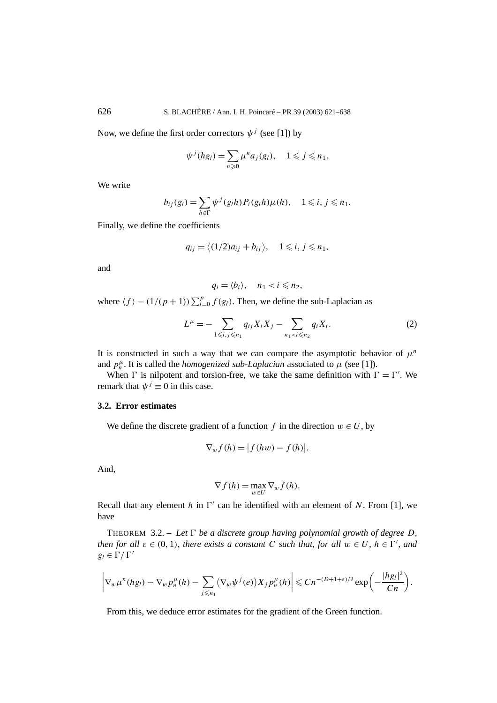Now, we define the first order correctors  $\psi^j$  (see [1]) by

$$
\psi^j(hg_l) = \sum_{n\geqslant 0} \mu^n a_j(g_l), \quad 1 \leqslant j \leqslant n_1.
$$

We write

$$
b_{ij}(g_l) = \sum_{h \in \Gamma} \psi^j(g_l h) P_i(g_l h) \mu(h), \quad 1 \leqslant i, j \leqslant n_1.
$$

Finally, we define the coefficients

$$
q_{ij} = \langle (1/2)a_{ij} + b_{ij} \rangle, \quad 1 \leq i, j \leq n_1,
$$

and

$$
q_i = \langle b_i \rangle, \quad n_1 < i \leq n_2,
$$

where  $\langle f \rangle = (1/(p+1)) \sum_{l=0}^{p} f(g_l)$ . Then, we define the sub-Laplacian as

$$
L^{\mu} = -\sum_{1 \leq i,j \leq n_1} q_{ij} X_i X_j - \sum_{n_1 < i \leq n_2} q_i X_i. \tag{2}
$$

It is constructed in such a way that we can compare the asymptotic behavior of  $\mu^n$ and  $p^{\mu}_{n}$ . It is called the *homogenized sub-Laplacian* associated to  $\mu$  (see [1]).

When  $\Gamma$  is nilpotent and torsion-free, we take the same definition with  $\Gamma = \Gamma'$ . We remark that  $\psi^{j} \equiv 0$  in this case.

#### **3.2. Error estimates**

We define the discrete gradient of a function  $f$  in the direction  $w \in U$ , by

$$
\nabla_w f(h) = |f(hw) - f(h)|.
$$

And,

$$
\nabla f(h) = \max_{w \in U} \nabla_w f(h).
$$

Recall that any element  $h$  in  $\Gamma'$  can be identified with an element of N. From [1], we have

THEOREM 3.2. – Let  $\Gamma$  be a discrete group having polynomial growth of degree D, *then for all*  $\varepsilon \in (0, 1)$ *, there exists a constant C such that, for all*  $w \in U$ *,*  $h \in \Gamma'$ *, and*  $g_l \in \Gamma / \Gamma'$ 

$$
\left|\nabla_w \mu^n(hg_l) - \nabla_w p_n^{\mu}(h) - \sum_{j \leq n_1} (\nabla_w \psi^j(e)) X_j p_n^{\mu}(h)\right| \leq Cn^{-(D+1+\varepsilon)/2} \exp\left(-\frac{|hg_l|^2}{Cn}\right).
$$

From this, we deduce error estimates for the gradient of the Green function.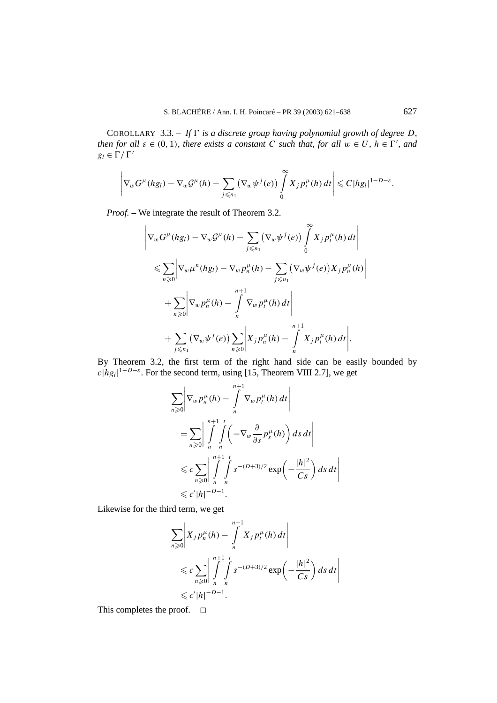COROLLARY 3.3. – If  $\Gamma$  is a discrete group having polynomial growth of degree *D*, *then for all*  $\varepsilon \in (0, 1)$ *, there exists a constant C such that, for all*  $w \in U$ *,*  $h \in \Gamma'$ *, and*  $g_l \in \Gamma / \Gamma'$ 

$$
\left|\nabla_{w} G^{\mu}(hg_{l})-\nabla_{w} G^{\mu}(h)-\sum_{j\leq n_{1}}(\nabla_{w}\psi^{j}(e))\int\limits_{0}^{\infty}X_{j} p_{t}^{\mu}(h)\,dt\right|\leq C|h g_{l}|^{1-D-\varepsilon}.
$$

*Proof. –* We integrate the result of Theorem 3.2.

$$
\left|\nabla_{w}G^{\mu}(hg_{l}) - \nabla_{w}G^{\mu}(h) - \sum_{j\leq n_{1}}(\nabla_{w}\psi^{j}(e))\int_{0}^{\infty}X_{j}p_{t}^{\mu}(h)dt\right|
$$
  
\n
$$
\leqslant \sum_{n\geqslant 0}\left|\nabla_{w}\mu^{n}(hg_{l}) - \nabla_{w}p_{n}^{\mu}(h) - \sum_{j\leqslant n_{1}}(\nabla_{w}\psi^{j}(e))X_{j}p_{n}^{\mu}(h)\right|
$$
  
\n
$$
+ \sum_{n\geqslant 0}\left|\nabla_{w}p_{n}^{\mu}(h) - \int_{n}^{n+1}\nabla_{w}p_{t}^{\mu}(h)dt\right|
$$
  
\n
$$
+ \sum_{j\leqslant n_{1}}(\nabla_{w}\psi^{j}(e))\sum_{n\geqslant 0}\left|X_{j}p_{n}^{\mu}(h) - \int_{n}^{n+1}X_{j}p_{t}^{\mu}(h)dt\right|.
$$

By Theorem 3.2, the first term of the right hand side can be easily bounded by  $c|h g_l|^{1-D-\varepsilon}$ . For the second term, using [15, Theorem VIII 2.7], we get

$$
\sum_{n\geqslant 0} \left| \nabla_w p_n^{\mu}(h) - \int\limits_{n}^{n+1} \nabla_w p_t^{\mu}(h) dt \right|
$$
  
= 
$$
\sum_{n\geqslant 0} \left| \int\limits_{n}^{n+1} \int\limits_{n}^{t} \left( -\nabla_w \frac{\partial}{\partial s} p_s^{\mu}(h) \right) ds dt \right|
$$
  

$$
\leqslant c \sum_{n\geqslant 0} \left| \int\limits_{n}^{n+1} \int\limits_{n}^{t} s^{-(D+3)/2} \exp\left( -\frac{|h|^2}{Cs} \right) ds dt \right|
$$
  

$$
\leqslant c' |h|^{-D-1}.
$$

Likewise for the third term, we get

$$
\sum_{n\geqslant 0} \left| X_j p_n^{\mu}(h) - \int\limits_{n}^{n+1} X_j p_t^{\mu}(h) dt \right|
$$
  
\$\leqslant c \sum\_{n\geqslant 0} \left| \int\limits\_{n}^{n+1} \int\limits\_{n}^{t} s^{-(D+3)/2} \exp\left(-\frac{|h|^2}{Cs}\right) ds dt \right|\$  
\$\leqslant c'|h|^{-D-1}.

This completes the proof.  $\square$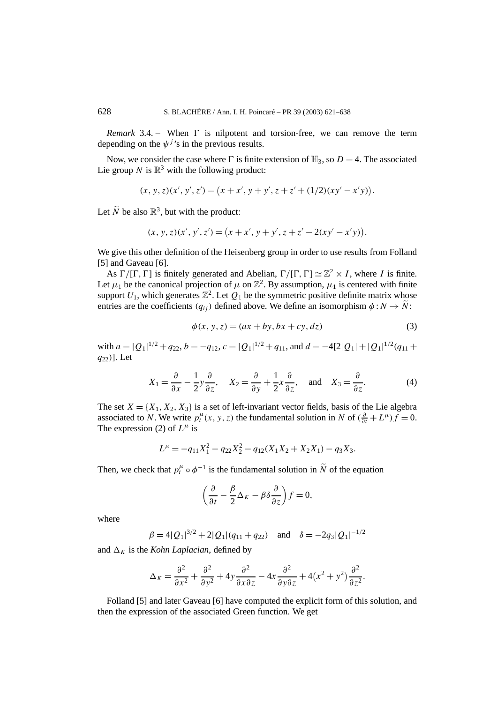*Remark* 3.4. – When  $\Gamma$  is nilpotent and torsion-free, we can remove the term depending on the  $\psi^{j}$ 's in the previous results.

Now, we consider the case where  $\Gamma$  is finite extension of  $\mathbb{H}_3$ , so  $D = 4$ . The associated Lie group *N* is  $\mathbb{R}^3$  with the following product:

$$
(x, y, z)(x', y', z') = (x + x', y + y', z + z' + (1/2)(xy' - x'y)).
$$

Let  $\widetilde{N}$  be also  $\mathbb{R}^3$ , but with the product:

$$
(x, y, z)(x', y', z') = (x + x', y + y', z + z' - 2(xy' - x'y)).
$$

We give this other definition of the Heisenberg group in order to use results from Folland [5] and Gaveau [6].

As  $\Gamma/[\Gamma, \Gamma]$  is finitely generated and Abelian,  $\Gamma/[\Gamma, \Gamma] \simeq \mathbb{Z}^2 \times I$ , where *I* is finite. Let  $\mu_1$  be the canonical projection of  $\mu$  on  $\mathbb{Z}^2$ . By assumption,  $\mu_1$  is centered with finite support  $U_1$ , which generates  $\mathbb{Z}^2$ . Let  $Q_1$  be the symmetric positive definite matrix whose entries are the coefficients  $(q_{ij})$  defined above. We define an isomorphism  $\phi : N \to \tilde{N}$ :

$$
\phi(x, y, z) = (ax + by, bx + cy, dz)
$$
\n(3)

with  $a = |Q_1|^{1/2} + q_{22}$ ,  $b = -q_{12}$ ,  $c = |Q_1|^{1/2} + q_{11}$ , and  $d = -4[2|Q_1| + |Q_1|^{1/2}(q_{11} +$ *q*22*)*]. Let

$$
X_1 = \frac{\partial}{\partial x} - \frac{1}{2} y \frac{\partial}{\partial z}, \quad X_2 = \frac{\partial}{\partial y} + \frac{1}{2} x \frac{\partial}{\partial z}, \quad \text{and} \quad X_3 = \frac{\partial}{\partial z}.
$$
 (4)

The set  $X = \{X_1, X_2, X_3\}$  is a set of left-invariant vector fields, basis of the Lie algebra associated to *N*. We write  $p_t^{\mu}(x, y, z)$  the fundamental solution in *N* of  $(\frac{\partial}{\partial t} + L^{\mu})f = 0$ . The expression (2) of  $L^{\mu}$  is

$$
L^{\mu} = -q_{11}X_1^2 - q_{22}X_2^2 - q_{12}(X_1X_2 + X_2X_1) - q_3X_3.
$$

Then, we check that  $p_t^{\mu} \circ \phi^{-1}$  is the fundamental solution in  $\tilde{N}$  of the equation

$$
\left(\frac{\partial}{\partial t} - \frac{\beta}{2}\Delta_K - \beta \delta \frac{\partial}{\partial z}\right) f = 0,
$$

where

$$
\beta = 4|Q_1|^{3/2} + 2|Q_1|(q_{11} + q_{22}) \quad \text{and} \quad \delta = -2q_3|Q_1|^{-1/2}
$$

and  $\Delta_K$  is the *Kohn Laplacian*, defined by

$$
\Delta_K = \frac{\partial^2}{\partial x^2} + \frac{\partial^2}{\partial y^2} + 4y \frac{\partial^2}{\partial x \partial z} - 4x \frac{\partial^2}{\partial y \partial z} + 4(x^2 + y^2) \frac{\partial^2}{\partial z^2}.
$$

Folland [5] and later Gaveau [6] have computed the explicit form of this solution, and then the expression of the associated Green function. We get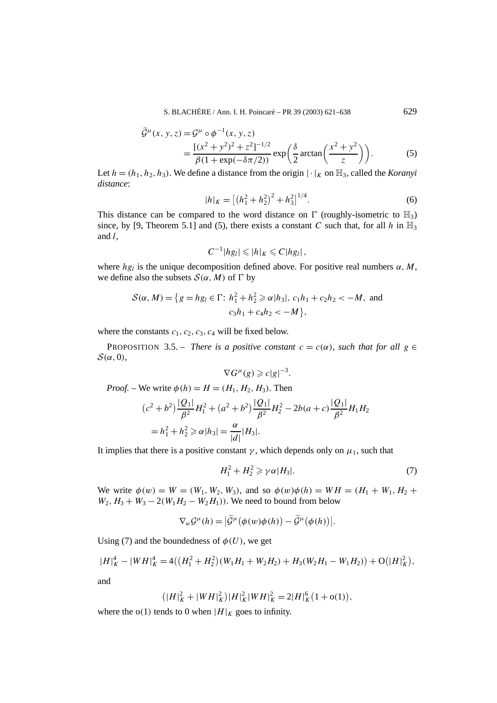S. BLACHÈRE / Ann. I. H. Poincaré – PR 39 (2003) 621–638 629

$$
\widetilde{\mathcal{G}}^{\mu}(x, y, z) = \mathcal{G}^{\mu} \circ \phi^{-1}(x, y, z)
$$
  
= 
$$
\frac{[(x^{2} + y^{2})^{2} + z^{2}]^{-1/2}}{\beta(1 + \exp(-\delta \pi/2))} \exp\left(\frac{\delta}{2} \arctan\left(\frac{x^{2} + y^{2}}{z}\right)\right).
$$
 (5)

Let  $h = (h_1, h_2, h_3)$ . We define a distance from the origin  $|\cdot|_K$  on  $\mathbb{H}_3$ , called the *Koranyi distance*:

$$
|h|_K = \left[ \left( h_1^2 + h_2^2 \right)^2 + h_3^2 \right]^{1/4}.
$$
 (6)

This distance can be compared to the word distance on  $\Gamma$  (roughly-isometric to  $\mathbb{H}_3$ ) since, by [9, Theorem 5.1] and (5), there exists a constant *C* such that, for all *h* in  $\mathbb{H}_3$ and *l*,

$$
C^{-1}|hg_l|\leqslant|h|_K\leqslant C|hg_l|\,,
$$

where  $hg_l$  is the unique decomposition defined above. For positive real numbers  $\alpha$ , M, we define also the subsets  $S(\alpha, M)$  of  $\Gamma$  by

$$
S(\alpha, M) = \{ g = hg_l \in \Gamma: h_1^2 + h_2^2 \ge \alpha |h_3|, c_1 h_1 + c_2 h_2 < -M, \text{ and}
$$
  

$$
c_3 h_1 + c_4 h_2 < -M \},
$$

where the constants  $c_1$ ,  $c_2$ ,  $c_3$ ,  $c_4$  will be fixed below.

**PROPOSITION** 3.5. – *There is a positive constant*  $c = c(\alpha)$ *, such that for all*  $g \in$  $S(\alpha, 0)$ ,

$$
\nabla G^{\mu}(g) \geqslant c|g|^{-3}.
$$

*Proof.* – We write  $\phi(h) = H = (H_1, H_2, H_3)$ . Then

$$
(c^{2} + b^{2}) \frac{|Q_{1}|}{\beta^{2}} H_{1}^{2} + (a^{2} + b^{2}) \frac{|Q_{1}|}{\beta^{2}} H_{2}^{2} - 2b(a + c) \frac{|Q_{1}|}{\beta^{2}} H_{1} H_{2}
$$
  
=  $h_{1}^{2} + h_{2}^{2} \ge \alpha |h_{3}| = \frac{\alpha}{|d|} |H_{3}|.$ 

It implies that there is a positive constant  $\gamma$ , which depends only on  $\mu_1$ , such that

$$
H_1^2 + H_2^2 \ge \gamma \alpha |H_3|.\tag{7}
$$

We write  $\phi(w) = W = (W_1, W_2, W_3)$ , and so  $\phi(w)\phi(h) = WH = (H_1 + W_1, H_2 + W_1)$  $W_2$ ,  $H_3 + W_3 - 2(W_1H_2 - W_2H_1)$ ). We need to bound from below

$$
\nabla_w \mathcal{G}^\mu(h) = |\widetilde{\mathcal{G}}^\mu(\phi(w)\phi(h)) - \widetilde{\mathcal{G}}^\mu(\phi(h))|.
$$

Using (7) and the boundedness of  $\phi(U)$ , we get

$$
|H|_K^4 - |WH|_K^4 = 4((H_1^2 + H_2^2)(W_1H_1 + W_2H_2) + H_3(W_2H_1 - W_1H_2)) + O(|H|_K^2),
$$

and

$$
\left(|H|_K^2+|WH|_K^2\right)|H|_K^2|WH|_K^2=2|H|_K^6\left(1+o(1)\right),
$$

where the  $o(1)$  tends to 0 when  $|H|_K$  goes to infinity.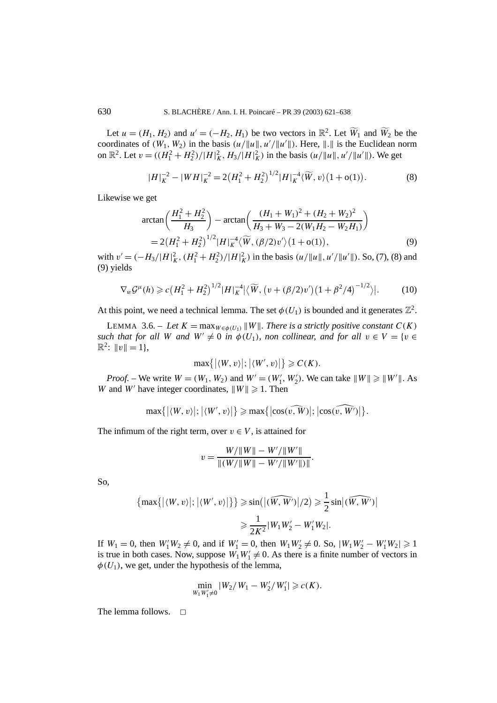Let  $u = (H_1, H_2)$  and  $u' = (-H_2, H_1)$  be two vectors in  $\mathbb{R}^2$ . Let  $\widetilde{W}_1$  and  $\widetilde{W}_2$  be the coordinates of  $(W_1, W_2)$  in the basis  $(u/\|u\|, u'/\|u'\|)$ . Here,  $\|.\|$  is the Euclidean norm on  $\mathbb{R}^2$ . Let  $v = ((H_1^2 + H_2^2)/|H|_K^2, H_3/|H|_K^2)$  in the basis  $(u/\|u\|, u'/\|u'\|)$ . We get

$$
|H|_K^{-2} - |WH|_K^{-2} = 2(H_1^2 + H_2^2)^{1/2} |H|_K^{-4} \langle \widetilde{W}, v \rangle (1 + o(1)). \tag{8}
$$

Likewise we get

$$
\arctan\left(\frac{H_1^2 + H_2^2}{H_3}\right) - \arctan\left(\frac{(H_1 + W_1)^2 + (H_2 + W_2)^2}{H_3 + W_3 - 2(W_1 H_2 - W_2 H_1)}\right)
$$
  
= 2(H\_1^2 + H\_2^2)^{1/2}|H|\_K^{-4}\langle\widetilde{W}, (\beta/2)v'\rangle(1+o(1)), (9)

with  $v' = (-H_3/|H|_K^2, (H_1^2 + H_2^2)/|H|_K^2)$  in the basis  $(u/||u||, u'/||u'||)$ . So, (7), (8) and (9) yields

$$
\nabla_w \mathcal{G}^\mu(h) \geqslant c \big( H_1^2 + H_2^2 \big)^{1/2} |H|_K^{-4} \big| \big\langle \widetilde{W}, \big( v + (\beta/2) v' \big) \big( 1 + \beta^2/4 \big)^{-1/2} \big\rangle \big|.
$$
 (10)

At this point, we need a technical lemma. The set  $\phi(U_1)$  is bounded and it generates  $\mathbb{Z}^2$ .

LEMMA 3.6. – Let  $K = \max_{W \in \phi(U_1)} ||W||$ . There is a strictly positive constant  $C(K)$ *such that for all W and*  $W' \neq 0$  *in*  $\phi(U_1)$ *, non collinear, and for all*  $v \in V = \{v \in V\}$  $\mathbb{R}^2$ :  $\|v\| = 1$ ,

$$
\max\{| \langle W, v \rangle |; | \langle W', v \rangle | \} \geqslant C(K).
$$

*Proof.* – We write  $W = (W_1, W_2)$  and  $W' = (W'_1, W'_2)$ . We can take  $||W|| \ge ||W'||$ . As *W* and *W'* have integer coordinates,  $||W|| \ge 1$ . Then

$$
\max\{| \langle W, v \rangle |; |\langle W', v \rangle | \} \geqslant \max\{| \cos(\widehat{v, W}) |; | \cos(\widehat{v, W'}) |\}.
$$

The infimum of the right term, over  $v \in V$ , is attained for

$$
v = \frac{W/\|W\| - W'/\|W'\|}{\|(W/\|W\| - W'/\|W'\|)\|}.
$$

So,

$$
\{\max\{|\langle W, v\rangle|; |\langle W', v\rangle|\}\} \ge \sin\left(|(\widehat{W, W'})|/2\right) \ge \frac{1}{2}\sin|\widehat{(W, W')}|
$$

$$
\ge \frac{1}{2K^2}|W_1W_2' - W_1'W_2|.
$$

If  $W_1 = 0$ , then  $W_1' W_2 \neq 0$ , and if  $W_1' = 0$ , then  $W_1 W_2' \neq 0$ . So,  $|W_1 W_2' - W_1' W_2| \ge 1$ is true in both cases. Now, suppose  $W_1 W_1' \neq 0$ . As there is a finite number of vectors in  $\phi(U_1)$ , we get, under the hypothesis of the lemma,

$$
\min_{W_1 W_1' \neq 0} |W_2/W_1 - W_2'/W_1'| \geqslant c(K).
$$

The lemma follows.  $\Box$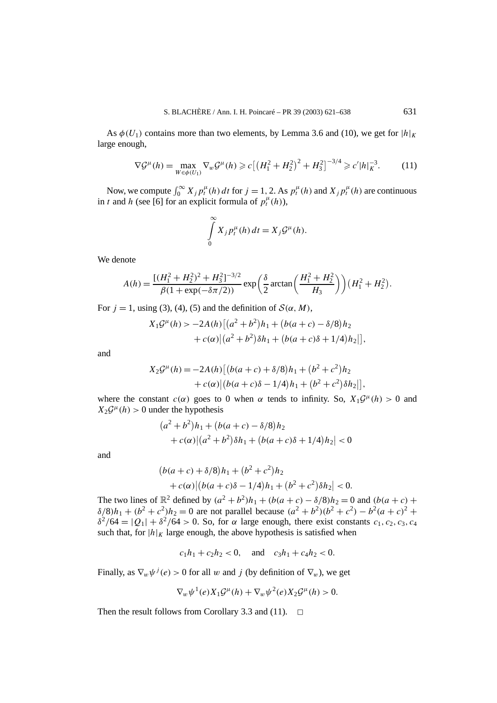As  $\phi(U_1)$  contains more than two elements, by Lemma 3.6 and (10), we get for  $|h|_K$ large enough,

$$
\nabla \mathcal{G}^{\mu}(h) = \max_{W \in \phi(U_1)} \nabla_w \mathcal{G}^{\mu}(h) \ge c \left[ \left( H_1^2 + H_2^2 \right)^2 + H_3^2 \right]^{-3/4} \ge c' |h|_K^{-3}.
$$
 (11)

Now, we compute  $\int_0^\infty X_j p_t^{\mu}(h) dt$  for  $j = 1, 2$ . As  $p_t^{\mu}(h)$  and  $X_j p_t^{\mu}(h)$  are continuous in *t* and *h* (see [6] for an explicit formula of  $p_t^{\mu}(h)$ ),

$$
\int_{0}^{\infty} X_j p_t^{\mu}(h) dt = X_j \mathcal{G}^{\mu}(h).
$$

We denote

$$
A(h) = \frac{\left[ (H_1^2 + H_2^2)^2 + H_3^2 \right]^{-3/2}}{\beta (1 + \exp(-\delta \pi/2))} \exp\left(\frac{\delta}{2} \arctan\left(\frac{H_1^2 + H_2^2}{H_3}\right)\right) (H_1^2 + H_2^2).
$$

For  $j = 1$ , using (3), (4), (5) and the definition of  $S(\alpha, M)$ ,

$$
X_1 \mathcal{G}^{\mu}(h) > -2A(h) [(a^2 + b^2)h_1 + (b(a+c) - \delta/8)h_2 + c(\alpha)(a^2 + b^2)\delta h_1 + (b(a+c)\delta + 1/4)h_2)],
$$

and

$$
X_2 \mathcal{G}^{\mu}(h) = -2A(h) [(b(a+c) + \delta/8)h_1 + (b^2 + c^2)h_2 + c(\alpha) | (b(a+c)\delta - 1/4)h_1 + (b^2 + c^2)\delta h_2 ]],
$$

where the constant  $c(\alpha)$  goes to 0 when  $\alpha$  tends to infinity. So,  $X_1\mathcal{G}^{\mu}(h) > 0$  and  $X_2\mathcal{G}^{\mu}(h) > 0$  under the hypothesis

$$
(a2 + b2)h1 + (b(a + c) – \delta/8)h2+ c(\alpha) |(a2 + b2)\delta h1 + (b(a + c)\delta + 1/4)h2| < 0
$$

and

$$
(b(a + c) + \delta/8)h_1 + (b^2 + c^2)h_2
$$
  
+  $c(\alpha)$  |  $(b(a + c)\delta - 1/4)h_1 + (b^2 + c^2)\delta h_2$  | < 0.

The two lines of  $\mathbb{R}^2$  defined by  $(a^2 + b^2)h_1 + (b(a+c) - \delta/8)h_2 = 0$  and  $(b(a+c) +$  $\delta/8/h_1 + (b^2 + c^2)h_2 = 0$  are not parallel because  $(a^2 + b^2)(b^2 + c^2) - b^2(a + c)^2 + c^2$ *δ*<sup>2</sup>/64 =  $|Q_1| + \delta^2/64 > 0$ . So, for *α* large enough, there exist constants *c*<sub>1</sub>*, c*<sub>2</sub>*, c*<sub>3</sub>*, c*<sub>4</sub> such that, for  $|h|_K$  large enough, the above hypothesis is satisfied when

$$
c_1h_1 + c_2h_2 < 0
$$
, and  $c_3h_1 + c_4h_2 < 0$ .

Finally, as  $\nabla_w \psi^j(e) > 0$  for all *w* and *j* (by definition of  $\nabla_w$ ), we get

$$
\nabla_w \psi^1(e) X_1 \mathcal{G}^\mu(h) + \nabla_w \psi^2(e) X_2 \mathcal{G}^\mu(h) > 0.
$$

Then the result follows from Corollary 3.3 and (11).  $\Box$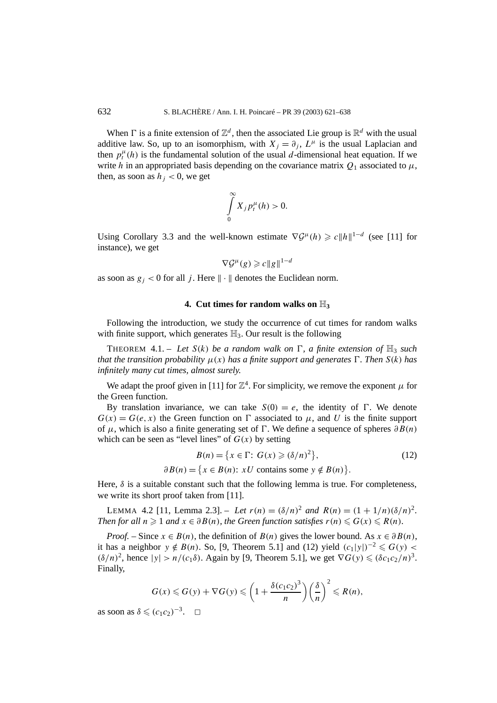When  $\Gamma$  is a finite extension of  $\mathbb{Z}^d$ , then the associated Lie group is  $\mathbb{R}^d$  with the usual additive law. So, up to an isomorphism, with  $X_i = \partial_i$ ,  $L^{\mu}$  is the usual Laplacian and then  $p_t^{\mu}(h)$  is the fundamental solution of the usual *d*-dimensional heat equation. If we write *h* in an appropriated basis depending on the covariance matrix  $Q_1$  associated to  $\mu$ , then, as soon as  $h_i < 0$ , we get

$$
\int\limits_{0}^{\infty} X_{j} p_{t}^{\mu}(h) > 0.
$$

Using Corollary 3.3 and the well-known estimate  $\nabla \mathcal{G}^{\mu}(h) \geq c ||h||^{1-d}$  (see [11] for instance), we get

$$
\nabla \mathcal{G}^{\mu}(g) \geqslant c \|g\|^{1-d}
$$

as soon as  $g_j < 0$  for all *j*. Here  $\|\cdot\|$  denotes the Euclidean norm.

#### **4. Cut times for random walks on** H**<sup>3</sup>**

Following the introduction, we study the occurrence of cut times for random walks with finite support, which generates  $\mathbb{H}_3$ . Our result is the following

THEOREM 4.1. – Let  $S(k)$  be a random walk on  $\Gamma$ , a finite extension of  $\mathbb{H}_3$  such *that the transition probability*  $\mu(x)$  *has a finite support and generates*  $\Gamma$ *. Then*  $S(k)$  *has infinitely many cut times, almost surely.*

We adapt the proof given in [11] for  $\mathbb{Z}^4$ . For simplicity, we remove the exponent  $\mu$  for the Green function.

By translation invariance, we can take  $S(0) = e$ , the identity of  $\Gamma$ . We denote  $G(x) = G(e, x)$  the Green function on  $\Gamma$  associated to  $\mu$ , and U is the finite support of  $\mu$ , which is also a finite generating set of  $\Gamma$ . We define a sequence of spheres  $\partial B(n)$ which can be seen as "level lines" of  $G(x)$  by setting

$$
B(n) = \{x \in \Gamma: G(x) \geqslant (\delta/n)^2\},\tag{12}
$$

 $\partial B(n) = \{x \in B(n): xU \text{ contains some } y \notin B(n)\}.$ 

Here,  $\delta$  is a suitable constant such that the following lemma is true. For completeness, we write its short proof taken from [11].

LEMMA 4.2 [11, Lemma 2.3]. – Let  $r(n) = (\delta/n)^2$  and  $R(n) = (1 + 1/n)(\delta/n)^2$ . *Then for all*  $n \geq 1$  *and*  $x \in \partial B(n)$ *, the Green function satisfies*  $r(n) \leq G(x) \leq R(n)$ *.* 

*Proof.* – Since  $x \in B(n)$ , the definition of  $B(n)$  gives the lower bound. As  $x \in \partial B(n)$ , it has a neighbor  $y \notin B(n)$ . So, [9, Theorem 5.1] and (12) yield  $(c_1|y|)^{-2} \le G(y)$  $(\delta/n)^2$ , hence  $|y| > n/(c_1\delta)$ . Again by [9, Theorem 5.1], we get  $\nabla G(y) \le (\delta c_1 c_2/n)^3$ . Finally,

$$
G(x) \leq G(y) + \nabla G(y) \leq \left(1 + \frac{\delta(c_1 c_2)^3}{n}\right) \left(\frac{\delta}{n}\right)^2 \leq R(n),
$$

as soon as  $\delta \leqslant (c_1 c_2)^{-3}$ .  $\Box$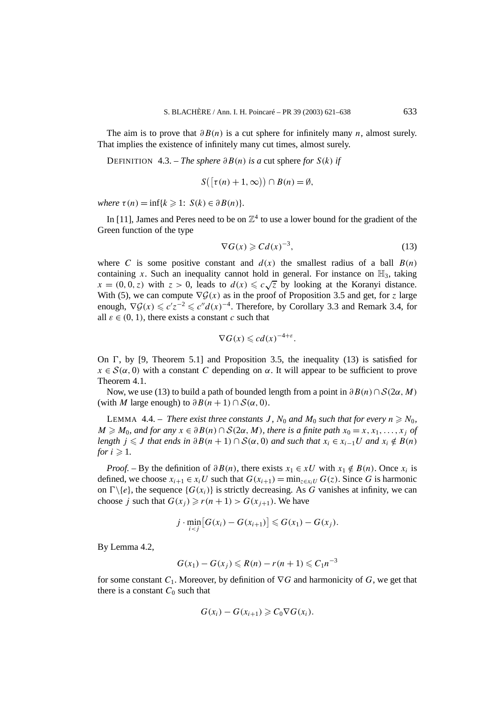The aim is to prove that *∂B(n)* is a cut sphere for infinitely many *n*, almost surely. That implies the existence of infinitely many cut times, almost surely.

DEFINITION 4.3. – *The sphere*  $\partial B(n)$  *is a* cut sphere *for*  $S(k)$  *if* 

$$
S([\tau(n)+1,\infty)) \cap B(n) = \emptyset,
$$

*where*  $\tau(n) = \inf\{k \geq 1: S(k) \in \partial B(n)\}.$ 

In [11], James and Peres need to be on  $\mathbb{Z}^4$  to use a lower bound for the gradient of the Green function of the type

$$
\nabla G(x) \geqslant C d(x)^{-3},\tag{13}
$$

where *C* is some positive constant and  $d(x)$  the smallest radius of a ball  $B(n)$ containing *x*. Such an inequality cannot hold in general. For instance on  $\mathbb{H}_3$ , taking containing *x*. Such an inequality cannot note in general. For instance on  $\mathbb{H}_3$ , taking  $x = (0, 0, z)$  with  $z > 0$ , leads to  $d(x) \leq c\sqrt{z}$  by looking at the Koranyi distance. With (5), we can compute  $\nabla \mathcal{G}(x)$  as in the proof of Proposition 3.5 and get, for *z* large enough,  $\nabla \mathcal{G}(x) \leq c'z^{-2} \leq c''d(x)^{-4}$ . Therefore, by Corollary 3.3 and Remark 3.4, for all  $\varepsilon \in (0, 1)$ , there exists a constant *c* such that

$$
\nabla G(x) \leqslant c d(x)^{-4+\varepsilon}.
$$

On  $\Gamma$ , by [9, Theorem 5.1] and Proposition 3.5, the inequality (13) is satisfied for  $x \in S(\alpha, 0)$  with a constant *C* depending on  $\alpha$ . It will appear to be sufficient to prove Theorem 4.1.

Now, we use (13) to build a path of bounded length from a point in *∂B(n)*∩S*(*2*α,M)* (with *M* large enough) to  $\partial B(n+1) \cap S(\alpha, 0)$ .

LEMMA 4.4. – *There exist three constants J*,  $N_0$  and  $M_0$  such that for every  $n \ge N_0$ ,  $M \geq M_0$ *, and for any*  $x \in \partial B(n) \cap S(2\alpha, M)$ *, there is a finite path*  $x_0 = x, x_1, \ldots, x_j$  *of length*  $j \leq J$  *that ends in*  $\partial B(n+1) \cap S(\alpha, 0)$  *and such that*  $x_i \in x_{i-1}U$  *and*  $x_i \notin B(n)$ *for*  $i \geqslant 1$ .

*Proof.* – By the definition of  $\partial B(n)$ , there exists  $x_1 \in xU$  with  $x_1 \notin B(n)$ . Once  $x_i$  is defined, we choose  $x_{i+1} \in x_i U$  such that  $G(x_{i+1}) = \min_{z \in x_i U} G(z)$ . Since G is harmonic on  $\Gamma \backslash \{e\}$ , the sequence  $\{G(x_i)\}$  is strictly decreasing. As *G* vanishes at infinity, we can choose *j* such that  $G(x_j) \ge r(n + 1) > G(x_{j+1})$ . We have

$$
j\cdot \min_{i
$$

By Lemma 4.2,

$$
G(x_1) - G(x_j) \le R(n) - r(n+1) \le C_1 n^{-3}
$$

for some constant  $C_1$ . Moreover, by definition of  $\nabla G$  and harmonicity of  $G$ , we get that there is a constant  $C_0$  such that

$$
G(x_i) - G(x_{i+1}) \geqslant C_0 \nabla G(x_i).
$$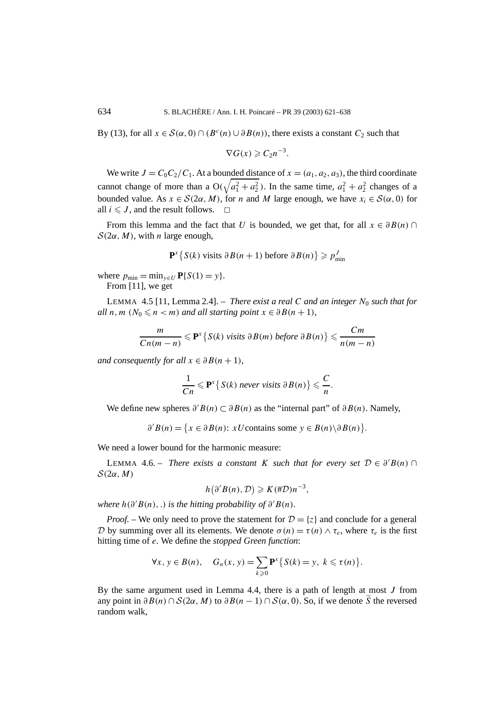By (13), for all  $x \in S(\alpha, 0) \cap (B^c(n) \cup \partial B(n))$ , there exists a constant  $C_2$  such that

$$
\nabla G(x) \geqslant C_2 n^{-3}.
$$

We write  $J = C_0 C_2 / C_1$ . At a bounded distance of  $x = (a_1, a_2, a_3)$ , the third coordinate cannot change of more than a  $O(\sqrt{a_1^2 + a_2^2})$ . In the same time,  $a_1^2 + a_2^2$  changes of a bounded value. As  $x \in S(2\alpha, M)$ , for *n* and *M* large enough, we have  $x_i \in S(\alpha, 0)$  for all  $i \leq J$ , and the result follows.  $\Box$ 

From this lemma and the fact that *U* is bounded, we get that, for all  $x \in \partial B(n)$  ∩  $S(2\alpha, M)$ , with *n* large enough,

$$
\mathbf{P}^x \{ S(k) \text{ visits } \partial B(n+1) \text{ before } \partial B(n) \} \geqslant p_{\min}^J
$$

where  $p_{\min} = \min_{y \in U} P\{S(1) = y\}.$ 

From [11], we get

LEMMA 4.5 [11, Lemma 2.4]. – *There exist a real C and an integer*  $N_0$  *such that for all*  $n, m$  ( $N_0 \le n < m$ ) *and all starting point*  $x \in \partial B(n+1)$ *,* 

$$
\frac{m}{Cn(m-n)} \leqslant \mathbf{P}^{x} \{ S(k) \text{ visits } \partial B(m) \text{ before } \partial B(n) \} \leqslant \frac{Cm}{n(m-n)}
$$

*and consequently for all*  $x \in \partial B(n+1)$ *,* 

$$
\frac{1}{Cn} \leqslant \mathbf{P}^x \left\{ S(k) \text{ never visits } \partial B(n) \right\} \leqslant \frac{C}{n}.
$$

We define new spheres  $\partial' B(n) \subset \partial B(n)$  as the "internal part" of  $\partial B(n)$ . Namely,

 $\partial' B(n) = \{x \in \partial B(n): xU$ contains some  $y \in B(n) \setminus \partial B(n)\}.$ 

We need a lower bound for the harmonic measure:

LEMMA 4.6. – *There exists a constant K such that for every set*  $D \in \partial'B(n)$  ∩  $\mathcal{S}(2\alpha, M)$ 

$$
h(\partial'B(n),\mathcal{D})\geqslant K(\#\mathcal{D})n^{-3},
$$

*where*  $h(\partial'B(n),.)$  *is the hitting probability of*  $\partial'B(n)$ *.* 

*Proof.* – We only need to prove the statement for  $D = \{z\}$  and conclude for a general D by summing over all its elements. We denote  $\sigma(n) = \tau(n) \wedge \tau_e$ , where  $\tau_e$  is the first hitting time of *e*. We define the *stopped Green function*:

$$
\forall x, y \in B(n), \quad G_n(x, y) = \sum_{k \geq 0} \mathbf{P}^x \{ S(k) = y, k \leq \tau(n) \}.
$$

By the same argument used in Lemma 4.4, there is a path of length at most *J* from any point in  $\partial B(n) \cap S(2\alpha, M)$  to  $\partial B(n-1) \cap S(\alpha, 0)$ . So, if we denote S the reversed random walk,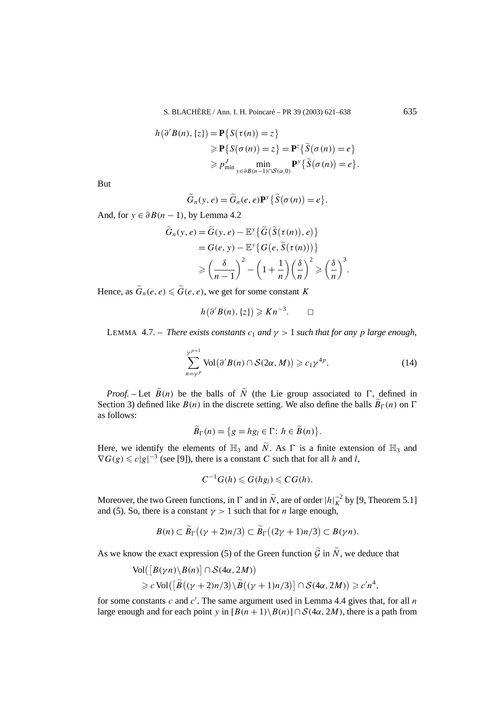$$
h(\partial'B(n), \{z\}) = \mathbf{P}\{S(\tau(n)) = z\}
$$
  
\n
$$
\geq \mathbf{P}\{S(\sigma(n)) = z\} = \mathbf{P}^{z}\{\widetilde{S}(\sigma(n)) = e\}
$$
  
\n
$$
\geq P_{\min}^{J} \min_{y \in \partial B(n-1) \cap S(\alpha, 0)} \mathbf{P}^{y}\{\widetilde{S}(\sigma(n)) = e\}.
$$

But

$$
\widetilde{G}_n(y,e) = \widetilde{G}_n(e,e) \mathbf{P}^y \{ \widetilde{S}(\sigma(n)) = e \}.
$$

And, for  $y \in \partial B(n-1)$ , by Lemma 4.2

$$
\widetilde{G}_n(y, e) = \widetilde{G}(y, e) - \mathbb{E}^y \{ \widetilde{G}(\widetilde{S}(\tau(n)), e) \}
$$
\n
$$
= G(e, y) - \mathbb{E}^y \{ G(e, \widetilde{S}(\tau(n))) \}
$$
\n
$$
\geqslant \left( \frac{\delta}{n-1} \right)^2 - \left( 1 + \frac{1}{n} \right) \left( \frac{\delta}{n} \right)^2 \geqslant \left( \frac{\delta}{n} \right)^3.
$$

Hence, as  $\widetilde{G}_n(e, e) \leq \widetilde{G}(e, e)$ , we get for some constant *K* 

$$
h(\partial'B(n),\{z\})\geqslant Kn^{-3}.\qquad \Box
$$

LEMMA 4.7. – *There exists constants*  $c_1$  *and*  $\gamma > 1$  *such that for any p large enough*,

$$
\sum_{n=\gamma^p}^{\gamma^{p+1}} \text{Vol}\big(\partial'B(n)\cap\mathcal{S}(2\alpha,M)\big) \geqslant c_1\gamma^{4p}.\tag{14}
$$

*Proof.* – Let  $\widetilde{B}(n)$  be the balls of  $\widetilde{N}$  (the Lie group associated to  $\Gamma$ , defined in Section 3) defined like  $B(n)$  in the discrete setting. We also define the balls  $\widetilde{B}_{\Gamma}(n)$  on  $\Gamma$ as follows:

$$
\widetilde{B}_{\Gamma}(n) = \{ g = hg_l \in \Gamma : h \in \widetilde{B}(n) \}.
$$

Here, we identify the elements of  $\mathbb{H}_3$  and  $\widetilde{N}$ . As  $\Gamma$  is a finite extension of  $\mathbb{H}_3$  and  $\nabla G(g) \leq c|g|^{-3}$  (see [9]), there is a constant *C* such that for all *h* and *l*,

$$
C^{-1}G(h)\leqslant G(hg_l)\leqslant CG(h).
$$

Moreover, the two Green functions, in  $\Gamma$  and in  $\tilde{N}$ , are of order  $|h|_{K}^{-2}$  by [9, Theorem 5.1] and (5). So, there is a constant  $\gamma > 1$  such that for *n* large enough,

$$
B(n) \subset \widetilde{B}_{\Gamma}((\gamma + 2)n/3) \subset \widetilde{B}_{\Gamma}((2\gamma + 1)n/3) \subset B(\gamma n).
$$

As we know the exact expression (5) of the Green function  $\tilde{G}$  in  $\tilde{N}$ , we deduce that

$$
\text{Vol}([B(\gamma n) \setminus B(n)] \cap S(4\alpha, 2M))
$$
  
\n
$$
\geq c \text{Vol}([\widetilde{B}((\gamma + 2)n/3) \setminus \widetilde{B}((\gamma + 1)n/3)] \cap S(4\alpha, 2M)) \geq c'n^4,
$$

for some constants *c* and *c* . The same argument used in Lemma 4.4 gives that, for all *n* large enough and for each point *y* in  $[B(n+1)\setminus B(n)] \cap S(4\alpha, 2M)$ , there is a path from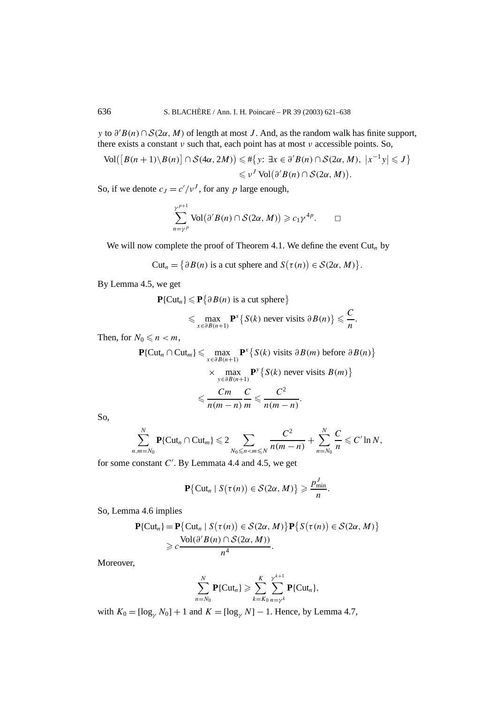*y* to *∂ B(n)*∩S*(*2*α,M)* of length at most *J* . And, as the random walk has finite support, there exists a constant *ν* such that, each point has at most *ν* accessible points. So,

$$
\text{Vol}([B(n+1)\setminus B(n)] \cap \mathcal{S}(4\alpha, 2M)) \leq \#\{y: \exists x \in \partial'B(n) \cap \mathcal{S}(2\alpha, M), \ |x^{-1}y| \leq J\}
$$
  
\$\leq v^J \text{Vol}(\partial'B(n) \cap \mathcal{S}(2\alpha, M)).

So, if we denote  $c_J = c'/v^J$ , for any *p* large enough,

$$
\sum_{n=\gamma^p}^{\gamma^{p+1}} \text{Vol}(\partial'B(n) \cap S(2\alpha, M)) \geqslant c_1 \gamma^{4p}. \qquad \Box
$$

We will now complete the proof of Theorem 4.1. We define the event  $\text{Cut}_n$  by

$$
\mathrm{Cut}_n = \big\{\partial B(n) \text{ is a cut sphere and } S(\tau(n)) \in \mathcal{S}(2\alpha, M)\big\}.
$$

By Lemma 4.5, we get

$$
\mathbf{P}\{\text{Cut}_n\} \leq \mathbf{P}\{\partial B(n) \text{ is a cut sphere}\}\
$$
  
\$\leq \max\_{x \in \partial B(n+1)} \mathbf{P}^x \{S(k) \text{ never visits } \partial B(n)\} \leq \frac{C}{n}.

Then, for  $N_0 \leq n < m$ ,

$$
\mathbf{P}\{\text{Cut}_n \cap \text{Cut}_m\} \leq \max_{x \in \partial B(n+1)} \mathbf{P}^x \{ S(k) \text{ visits } \partial B(m) \text{ before } \partial B(n) \}
$$

$$
\times \max_{y \in \partial B(n+1)} \mathbf{P}^y \{ S(k) \text{ never visits } B(m) \}
$$

$$
\leq \frac{Cm}{n(m-n)} \frac{C}{m} \leq \frac{C^2}{n(m-n)}.
$$

So,

$$
\sum_{n,m=N_0}^N \mathbf{P}\{\mathrm{Cut}_n \cap \mathrm{Cut}_m\} \leqslant 2 \sum_{N_0 \leqslant n < m \leqslant N} \frac{C^2}{n(m-n)} + \sum_{n=N_0}^N \frac{C}{n} \leqslant C' \ln N,
$$

for some constant *C* . By Lemmata 4.4 and 4.5, we get

$$
\mathbf{P}\big\{\mathrm{Cut}_n \mid S\big(\tau(n)\big) \in \mathcal{S}(2\alpha, M)\big\} \geqslant \frac{p_{\min}^J}{n}.
$$

So, Lemma 4.6 implies

$$
\mathbf{P}\{\text{Cut}_n\} = \mathbf{P}\{\text{Cut}_n \mid S(\tau(n)) \in S(2\alpha, M)\} \mathbf{P}\{S(\tau(n)) \in S(2\alpha, M)\}
$$

$$
\geq c \frac{\text{Vol}(\partial'B(n) \cap S(2\alpha, M))}{n^4}.
$$

Moreover,

$$
\sum_{n=N_0}^N \mathbf{P}\{\mathrm{Cut}_n\} \geqslant \sum_{k=K_0}^K \sum_{n=\gamma^k}^{\gamma^{k+1}} \mathbf{P}\{\mathrm{Cut}_n\},\
$$

with  $K_0 = [\log_{\gamma} N_0] + 1$  and  $K = [\log_{\gamma} N] - 1$ . Hence, by Lemma 4.7,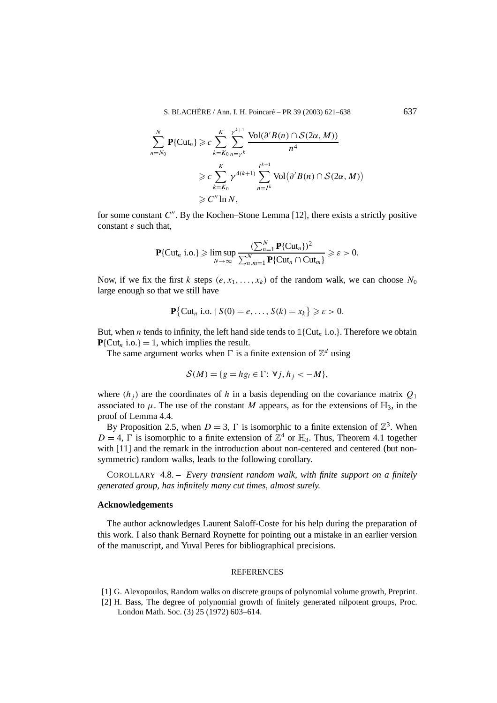S. BLACHÈRE / Ann. I. H. Poincaré – PR 39 (2003) 621–638 637

$$
\sum_{n=N_0}^{N} \mathbf{P}\{\text{Cut}_n\} \geqslant c \sum_{k=K_0}^{K} \sum_{n=\gamma^k}^{\gamma^{k+1}} \frac{\text{Vol}(\partial'B(n) \cap S(2\alpha, M))}{n^4}
$$
\n
$$
\geqslant c \sum_{k=K_0}^{K} \gamma^{4(k+1)} \sum_{n=I^k}^{I^{k+1}} \text{Vol}(\partial'B(n) \cap S(2\alpha, M))
$$
\n
$$
\geqslant C'' \ln N,
$$

for some constant *C*<sup>"</sup>. By the Kochen–Stone Lemma [12], there exists a strictly positive constant *ε* such that,

$$
\mathbf{P}\{\mathrm{Cut}_n \text{ i.o.}\} \geqslant \limsup_{N \to \infty} \frac{(\sum_{n=1}^N \mathbf{P}\{\mathrm{Cut}_n\})^2}{\sum_{n,m=1}^N \mathbf{P}\{\mathrm{Cut}_n \cap \mathrm{Cut}_m\}} \geqslant \varepsilon > 0.
$$

Now, if we fix the first *k* steps  $(e, x_1, \ldots, x_k)$  of the random walk, we can choose  $N_0$ large enough so that we still have

$$
\mathbf{P}\{\text{Cut}_n \text{ i.o. } | S(0) = e, \ldots, S(k) = x_k\} \geqslant \varepsilon > 0.
$$

But, when *n* tends to infinity, the left hand side tends to  $\mathbb{1}\{\text{Cut}_n \text{ i.o.}\}\$ . Therefore we obtain  $P\{Cut_n$  i.o.} = 1, which implies the result.

The same argument works when  $\Gamma$  is a finite extension of  $\mathbb{Z}^d$  using

$$
\mathcal{S}(M) = \{ g = hg_l \in \Gamma: \forall j, h_j < -M \},\
$$

where  $(h_i)$  are the coordinates of h in a basis depending on the covariance matrix  $O_1$ associated to  $\mu$ . The use of the constant *M* appears, as for the extensions of  $\mathbb{H}_3$ , in the proof of Lemma 4.4.

By Proposition 2.5, when  $D = 3$ ,  $\Gamma$  is isomorphic to a finite extension of  $\mathbb{Z}^3$ . When  $D = 4$ ,  $\Gamma$  is isomorphic to a finite extension of  $\mathbb{Z}^4$  or  $\mathbb{H}_3$ . Thus, Theorem 4.1 together with [11] and the remark in the introduction about non-centered and centered (but nonsymmetric) random walks, leads to the following corollary.

COROLLARY 4.8. – *Every transient random walk, with finite support on a finitely generated group, has infinitely many cut times, almost surely.*

#### **Acknowledgements**

The author acknowledges Laurent Saloff-Coste for his help during the preparation of this work. I also thank Bernard Roynette for pointing out a mistake in an earlier version of the manuscript, and Yuval Peres for bibliographical precisions.

#### **REFERENCES**

- [1] G. Alexopoulos, Random walks on discrete groups of polynomial volume growth, Preprint.
- [2] H. Bass, The degree of polynomial growth of finitely generated nilpotent groups, Proc. London Math. Soc. (3) 25 (1972) 603–614.